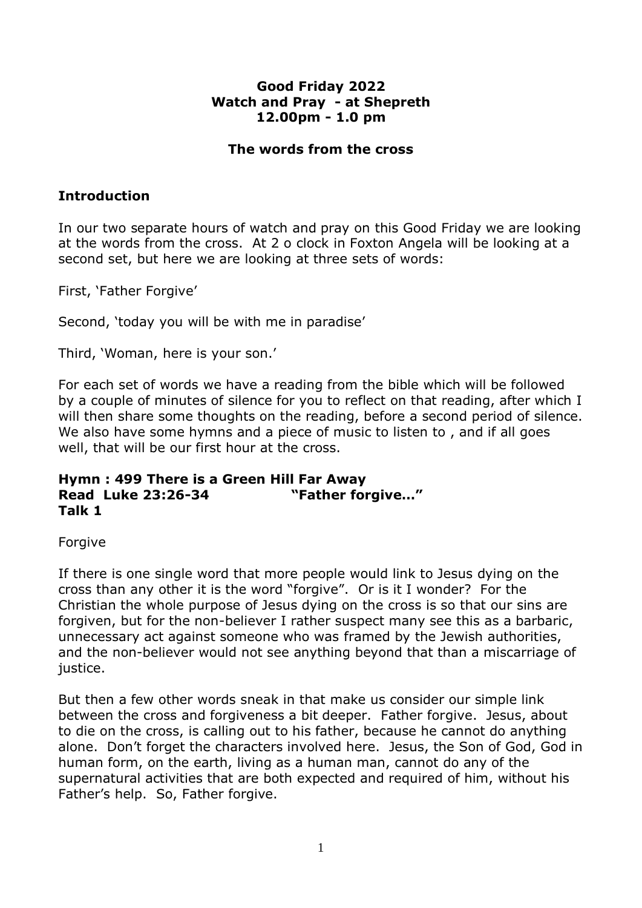# **Good Friday 2022 Watch and Pray - at Shepreth 12.00pm - 1.0 pm**

#### **The words from the cross**

# **Introduction**

In our two separate hours of watch and pray on this Good Friday we are looking at the words from the cross. At 2 o clock in Foxton Angela will be looking at a second set, but here we are looking at three sets of words:

First, 'Father Forgive'

Second, 'today you will be with me in paradise'

Third, 'Woman, here is your son.'

For each set of words we have a reading from the bible which will be followed by a couple of minutes of silence for you to reflect on that reading, after which I will then share some thoughts on the reading, before a second period of silence. We also have some hymns and a piece of music to listen to , and if all goes well, that will be our first hour at the cross.

## **Hymn : 499 There is a Green Hill Far Away Read Luke 23:26-34 "Father forgive…" Talk 1**

Forgive

If there is one single word that more people would link to Jesus dying on the cross than any other it is the word "forgive". Or is it I wonder? For the Christian the whole purpose of Jesus dying on the cross is so that our sins are forgiven, but for the non-believer I rather suspect many see this as a barbaric, unnecessary act against someone who was framed by the Jewish authorities, and the non-believer would not see anything beyond that than a miscarriage of justice.

But then a few other words sneak in that make us consider our simple link between the cross and forgiveness a bit deeper. Father forgive. Jesus, about to die on the cross, is calling out to his father, because he cannot do anything alone. Don't forget the characters involved here. Jesus, the Son of God, God in human form, on the earth, living as a human man, cannot do any of the supernatural activities that are both expected and required of him, without his Father's help. So, Father forgive.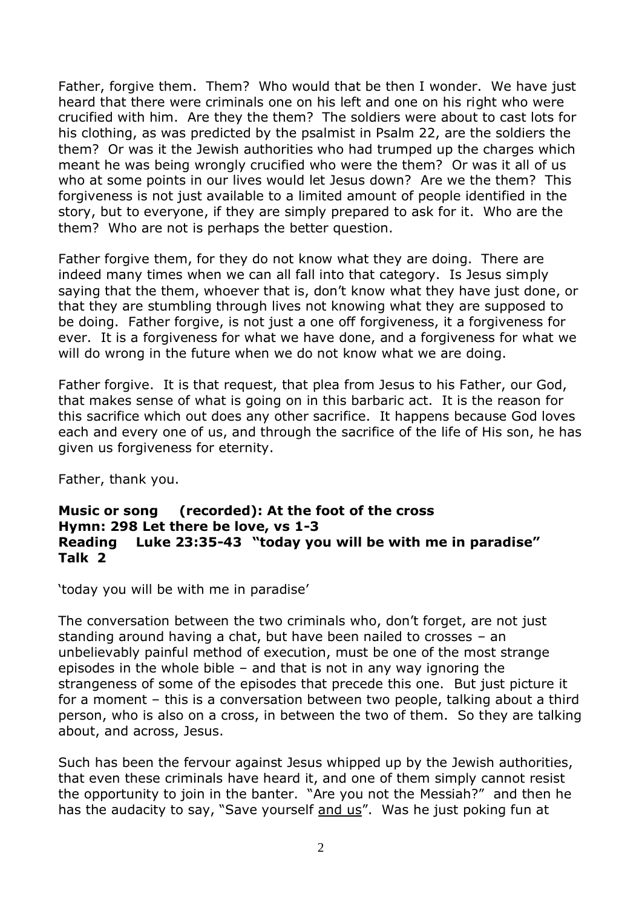Father, forgive them. Them? Who would that be then I wonder. We have just heard that there were criminals one on his left and one on his right who were crucified with him. Are they the them? The soldiers were about to cast lots for his clothing, as was predicted by the psalmist in Psalm 22, are the soldiers the them? Or was it the Jewish authorities who had trumped up the charges which meant he was being wrongly crucified who were the them? Or was it all of us who at some points in our lives would let Jesus down? Are we the them? This forgiveness is not just available to a limited amount of people identified in the story, but to everyone, if they are simply prepared to ask for it. Who are the them? Who are not is perhaps the better question.

Father forgive them, for they do not know what they are doing. There are indeed many times when we can all fall into that category. Is Jesus simply saying that the them, whoever that is, don't know what they have just done, or that they are stumbling through lives not knowing what they are supposed to be doing. Father forgive, is not just a one off forgiveness, it a forgiveness for ever. It is a forgiveness for what we have done, and a forgiveness for what we will do wrong in the future when we do not know what we are doing.

Father forgive. It is that request, that plea from Jesus to his Father, our God, that makes sense of what is going on in this barbaric act. It is the reason for this sacrifice which out does any other sacrifice. It happens because God loves each and every one of us, and through the sacrifice of the life of His son, he has given us forgiveness for eternity.

Father, thank you.

# **Music or song (recorded): At the foot of the cross Hymn: 298 Let there be love, vs 1-3 Reading Luke 23:35-43 "today you will be with me in paradise" Talk 2**

'today you will be with me in paradise'

The conversation between the two criminals who, don't forget, are not just standing around having a chat, but have been nailed to crosses – an unbelievably painful method of execution, must be one of the most strange episodes in the whole bible – and that is not in any way ignoring the strangeness of some of the episodes that precede this one. But just picture it for a moment – this is a conversation between two people, talking about a third person, who is also on a cross, in between the two of them. So they are talking about, and across, Jesus.

Such has been the fervour against Jesus whipped up by the Jewish authorities, that even these criminals have heard it, and one of them simply cannot resist the opportunity to join in the banter. "Are you not the Messiah?" and then he has the audacity to say, "Save yourself and us". Was he just poking fun at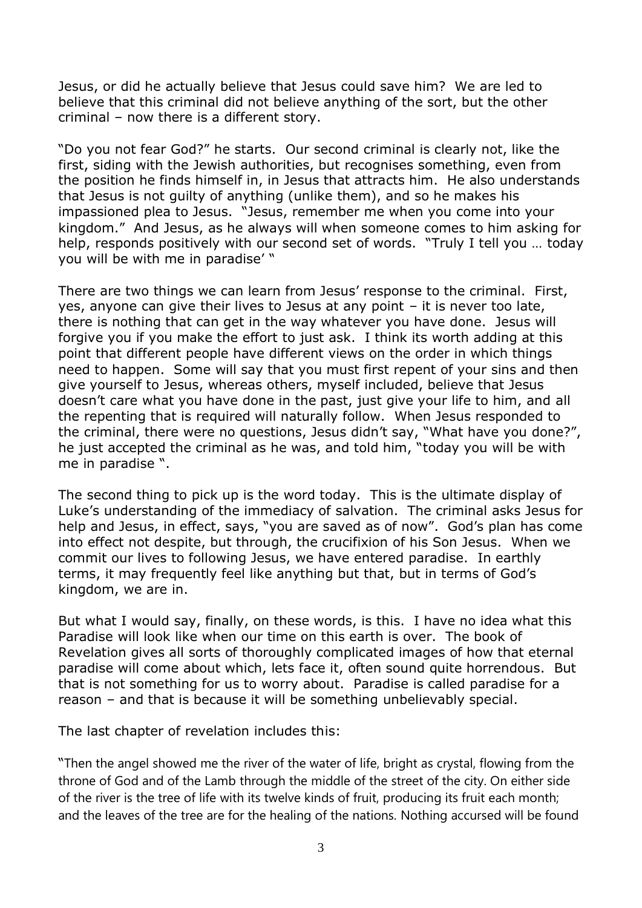Jesus, or did he actually believe that Jesus could save him? We are led to believe that this criminal did not believe anything of the sort, but the other criminal – now there is a different story.

"Do you not fear God?" he starts. Our second criminal is clearly not, like the first, siding with the Jewish authorities, but recognises something, even from the position he finds himself in, in Jesus that attracts him. He also understands that Jesus is not guilty of anything (unlike them), and so he makes his impassioned plea to Jesus. "Jesus, remember me when you come into your kingdom." And Jesus, as he always will when someone comes to him asking for help, responds positively with our second set of words. "Truly I tell you … today you will be with me in paradise' "

There are two things we can learn from Jesus' response to the criminal. First, yes, anyone can give their lives to Jesus at any point – it is never too late, there is nothing that can get in the way whatever you have done. Jesus will forgive you if you make the effort to just ask. I think its worth adding at this point that different people have different views on the order in which things need to happen. Some will say that you must first repent of your sins and then give yourself to Jesus, whereas others, myself included, believe that Jesus doesn't care what you have done in the past, just give your life to him, and all the repenting that is required will naturally follow. When Jesus responded to the criminal, there were no questions, Jesus didn't say, "What have you done?", he just accepted the criminal as he was, and told him, "today you will be with me in paradise ".

The second thing to pick up is the word today. This is the ultimate display of Luke's understanding of the immediacy of salvation. The criminal asks Jesus for help and Jesus, in effect, says, "you are saved as of now". God's plan has come into effect not despite, but through, the crucifixion of his Son Jesus. When we commit our lives to following Jesus, we have entered paradise. In earthly terms, it may frequently feel like anything but that, but in terms of God's kingdom, we are in.

But what I would say, finally, on these words, is this. I have no idea what this Paradise will look like when our time on this earth is over. The book of Revelation gives all sorts of thoroughly complicated images of how that eternal paradise will come about which, lets face it, often sound quite horrendous. But that is not something for us to worry about. Paradise is called paradise for a reason – and that is because it will be something unbelievably special.

The last chapter of revelation includes this:

"Then the angel showed me the river of the water of life, bright as crystal, flowing from the throne of God and of the Lamb through the middle of the street of the city. On either side of the river is the tree of life with its twelve kinds of fruit, producing its fruit each month; and the leaves of the tree are for the healing of the nations. Nothing accursed will be found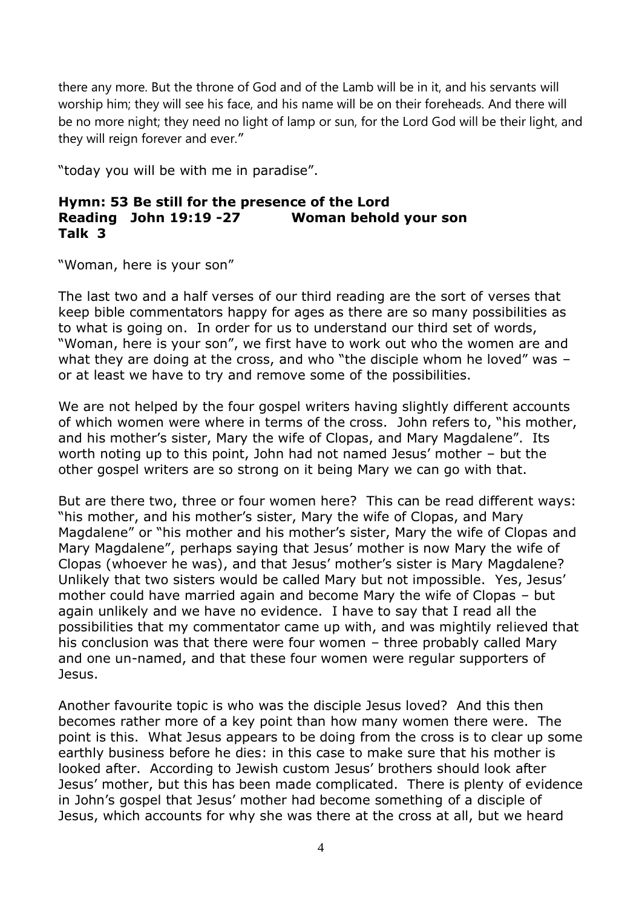there any more. But the throne of God and of the Lamb will be in it, and his servants will worship him; they will see his face, and his name will be on their foreheads. And there will be no more night; they need no light of lamp or sun, for the Lord God will be their light, and they will reign forever and ever."

"today you will be with me in paradise".

## **Hymn: 53 Be still for the presence of the Lord Reading John 19:19 -27 Woman behold your son Talk 3**

"Woman, here is your son"

The last two and a half verses of our third reading are the sort of verses that keep bible commentators happy for ages as there are so many possibilities as to what is going on. In order for us to understand our third set of words, "Woman, here is your son", we first have to work out who the women are and what they are doing at the cross, and who "the disciple whom he loved" was or at least we have to try and remove some of the possibilities.

We are not helped by the four gospel writers having slightly different accounts of which women were where in terms of the cross. John refers to, "his mother, and his mother's sister, Mary the wife of Clopas, and Mary Magdalene". Its worth noting up to this point, John had not named Jesus' mother – but the other gospel writers are so strong on it being Mary we can go with that.

But are there two, three or four women here? This can be read different ways: "his mother, and his mother's sister, Mary the wife of Clopas, and Mary Magdalene" or "his mother and his mother's sister, Mary the wife of Clopas and Mary Magdalene", perhaps saying that Jesus' mother is now Mary the wife of Clopas (whoever he was), and that Jesus' mother's sister is Mary Magdalene? Unlikely that two sisters would be called Mary but not impossible. Yes, Jesus' mother could have married again and become Mary the wife of Clopas – but again unlikely and we have no evidence. I have to say that I read all the possibilities that my commentator came up with, and was mightily relieved that his conclusion was that there were four women – three probably called Mary and one un-named, and that these four women were regular supporters of Jesus.

Another favourite topic is who was the disciple Jesus loved? And this then becomes rather more of a key point than how many women there were. The point is this. What Jesus appears to be doing from the cross is to clear up some earthly business before he dies: in this case to make sure that his mother is looked after. According to Jewish custom Jesus' brothers should look after Jesus' mother, but this has been made complicated. There is plenty of evidence in John's gospel that Jesus' mother had become something of a disciple of Jesus, which accounts for why she was there at the cross at all, but we heard